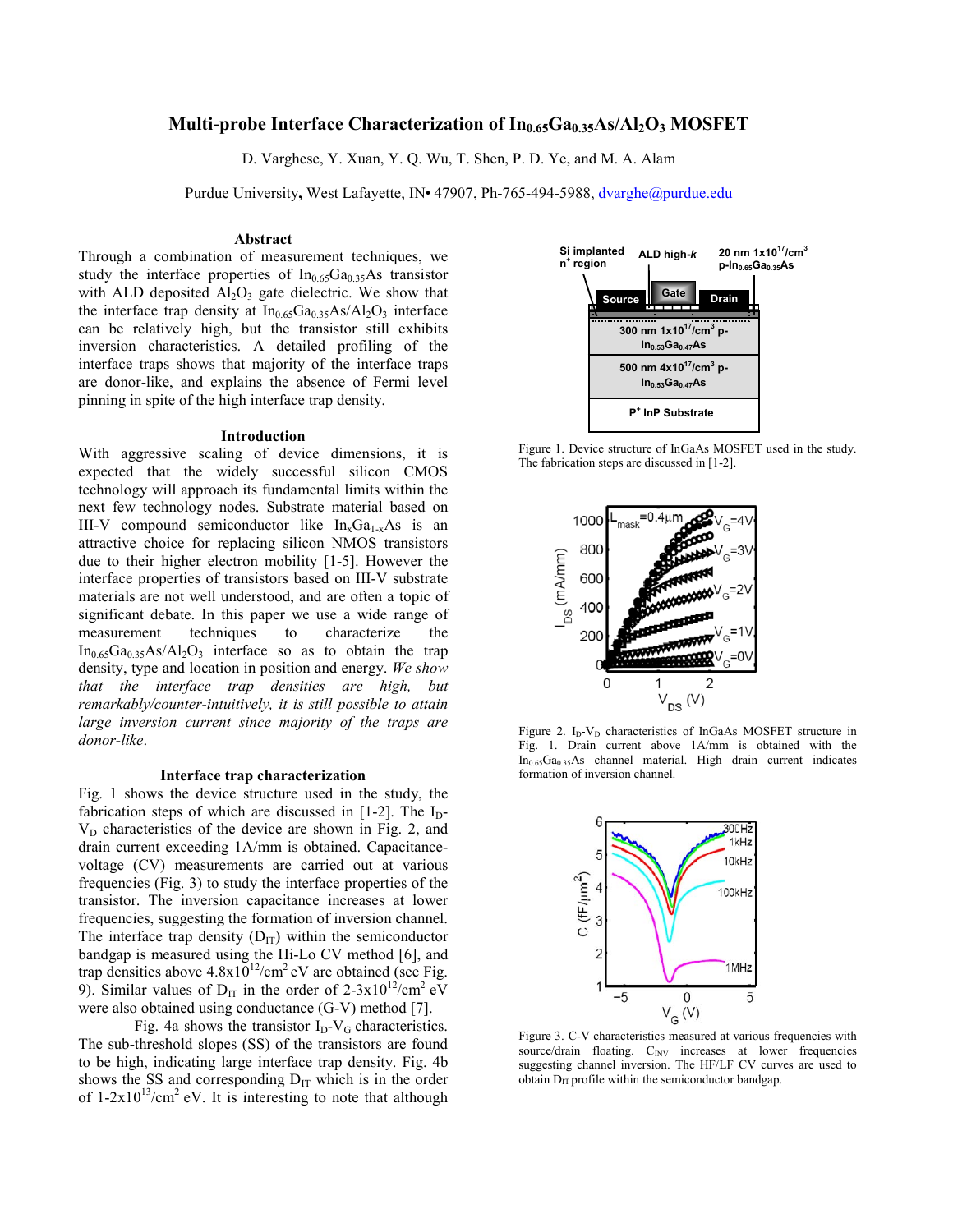# **Multi-probe Interface Characterization of In<sub>0.65</sub>Ga<sub>0.35</sub>As/Al<sub>2</sub>O<sub>3</sub> MOSFET**

D. Varghese, Y. Xuan, Y. Q. Wu, T. Shen, P. D. Ye, and M. A. Alam

Purdue University**,** West Lafayette, IN• 47907, Ph-765-494-5988, dvarghe@purdue.edu

# **Abstract**

Through a combination of measurement techniques, we study the interface properties of  $In<sub>0.65</sub>Ga<sub>0.35</sub>As transistor$ with ALD deposited  $Al_2O_3$  gate dielectric. We show that the interface trap density at  $In<sub>0.65</sub>Ga<sub>0.35</sub>As/A<sub>2</sub>O<sub>3</sub>$  interface can be relatively high, but the transistor still exhibits inversion characteristics. A detailed profiling of the interface traps shows that majority of the interface traps are donor-like, and explains the absence of Fermi level pinning in spite of the high interface trap density.

# **Introduction**

With aggressive scaling of device dimensions, it is expected that the widely successful silicon CMOS technology will approach its fundamental limits within the next few technology nodes. Substrate material based on III-V compound semiconductor like  $In_xGa_{1-x}As$  is an attractive choice for replacing silicon NMOS transistors due to their higher electron mobility [1-5]. However the interface properties of transistors based on III-V substrate materials are not well understood, and are often a topic of significant debate. In this paper we use a wide range of measurement techniques to characterize the  $In<sub>0.65</sub>Ga<sub>0.35</sub>As/Al<sub>2</sub>O<sub>3</sub>$  interface so as to obtain the trap density, type and location in position and energy. *We show that the interface trap densities are high, but remarkably/counter-intuitively, it is still possible to attain large inversion current since majority of the traps are donor-like*.

#### **Interface trap characterization**

Fig. 1 shows the device structure used in the study, the fabrication steps of which are discussed in  $[1-2]$ . The I<sub>D</sub>- $V_D$  characteristics of the device are shown in Fig. 2, and drain current exceeding 1A/mm is obtained. Capacitancevoltage (CV) measurements are carried out at various frequencies (Fig. 3) to study the interface properties of the transistor. The inversion capacitance increases at lower frequencies, suggesting the formation of inversion channel. The interface trap density  $(D_{IT})$  within the semiconductor bandgap is measured using the Hi-Lo CV method [6], and trap densities above  $4.8 \times 10^{12}$ /cm<sup>2</sup> eV are obtained (see Fig. 9). Similar values of  $D_{IT}$  in the order of 2-3x10<sup>12</sup>/cm<sup>2</sup> eV were also obtained using conductance (G-V) method [7].

Fig. 4a shows the transistor  $I_D-V_G$  characteristics. The sub-threshold slopes (SS) of the transistors are found to be high, indicating large interface trap density. Fig. 4b shows the SS and corresponding  $D_{IT}$  which is in the order of  $1-2x10^{13}/cm^2$  eV. It is interesting to note that although



Figure 1. Device structure of InGaAs MOSFET used in the study. The fabrication steps are discussed in [1-2].



Figure 2. I<sub>D</sub>-V<sub>D</sub> characteristics of InGaAs MOSFET structure in Fig. 1. Drain current above 1A/mm is obtained with the  $In<sub>0.65</sub>Ga<sub>0.35</sub>As channel material. High drain current indicates$ formation of inversion channel.



Figure 3. C-V characteristics measured at various frequencies with source/drain floating. C<sub>INV</sub> increases at lower frequencies suggesting channel inversion. The HF/LF CV curves are used to obtain  $D_{IT}$  profile within the semiconductor bandgap.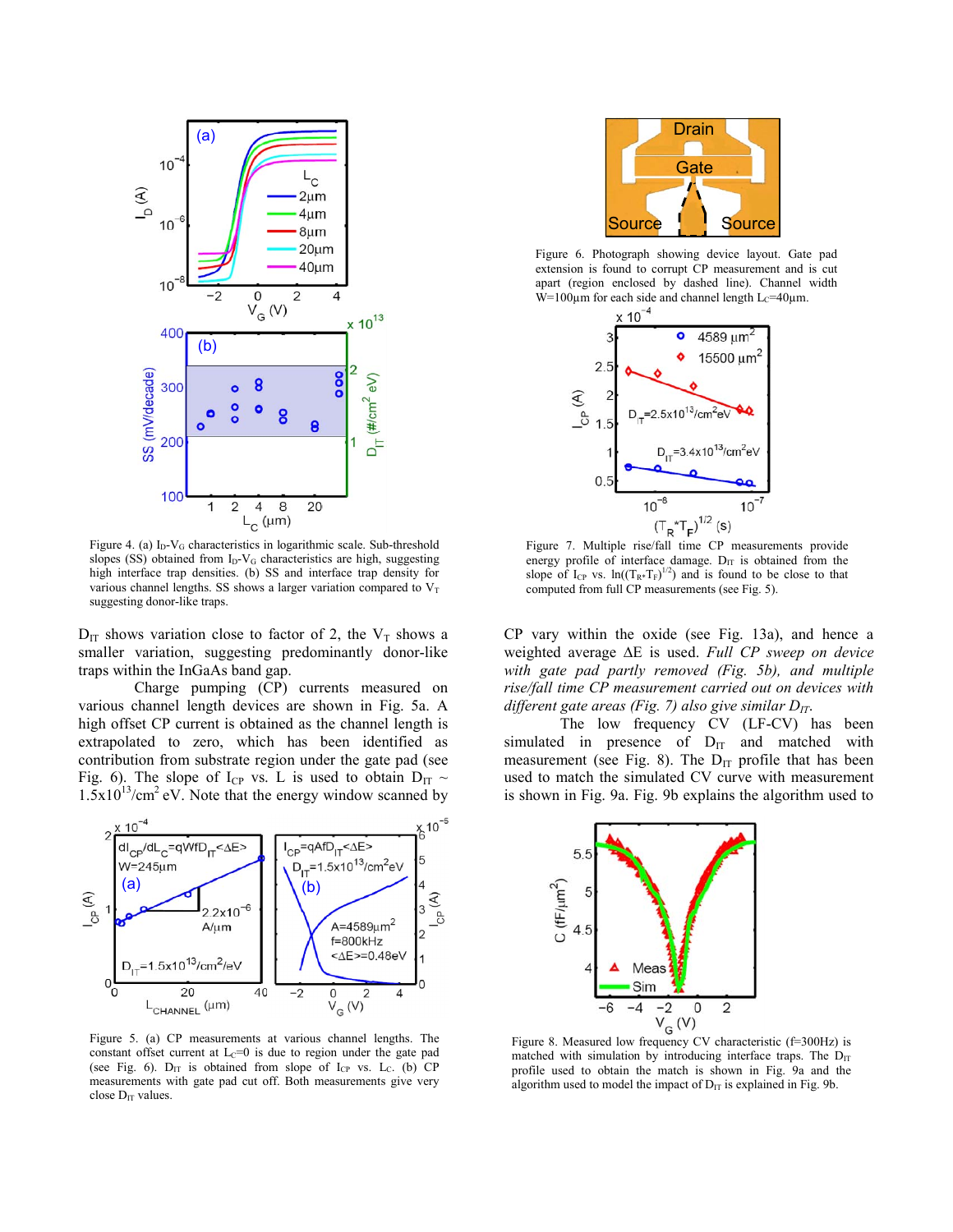

Figure 4. (a)  $I_D-V_G$  characteristics in logarithmic scale. Sub-threshold slopes (SS) obtained from  $I_D-V_G$  characteristics are high, suggesting high interface trap densities. (b) SS and interface trap density for various channel lengths. SS shows a larger variation compared to  $V_T$ suggesting donor-like traps.

 $D_{IT}$  shows variation close to factor of 2, the  $V_T$  shows a smaller variation, suggesting predominantly donor-like traps within the InGaAs band gap.

Charge pumping (CP) currents measured on various channel length devices are shown in Fig. 5a. A high offset CP current is obtained as the channel length is extrapolated to zero, which has been identified as contribution from substrate region under the gate pad (see Fig. 6). The slope of I<sub>CP</sub> vs. L is used to obtain  $D_{IT} \sim$  $1.5x10^{13}/cm^2$  eV. Note that the energy window scanned by



Figure 5. (a) CP measurements at various channel lengths. The constant offset current at  $L<sub>C</sub>=0$  is due to region under the gate pad (see Fig. 6).  $D_{IT}$  is obtained from slope of  $I_{CP}$  vs.  $L_C$ . (b) CP measurements with gate pad cut off. Both measurements give very close  $D_{IT}$  values.



Figure 6. Photograph showing device layout. Gate pad extension is found to corrupt CP measurement and is cut apart (region enclosed by dashed line). Channel width W=100 $\mu$ m for each side and channel length L<sub>C</sub>=40 $\mu$ m.



Figure 7. Multiple rise/fall time CP measurements provide energy profile of interface damage.  $D_{IT}$  is obtained from the slope of  $I_{CP}$  vs.  $ln((T_{R*}T_F)^{1/2})$  and is found to be close to that computed from full CP measurements (see Fig. 5).

CP vary within the oxide (see Fig. 13a), and hence a weighted average ∆E is used. *Full CP sweep on device with gate pad partly removed (Fig. 5b), and multiple rise/fall time CP measurement carried out on devices with different gate areas (Fig. 7) also give similar*  $D_{IT}$ *.* 

The low frequency CV (LF-CV) has been simulated in presence of  $D_{IT}$  and matched with measurement (see Fig. 8). The  $D_{IT}$  profile that has been used to match the simulated CV curve with measurement is shown in Fig. 9a. Fig. 9b explains the algorithm used to



Figure 8. Measured low frequency CV characteristic (f=300Hz) is matched with simulation by introducing interface traps. The  $D_{IT}$ profile used to obtain the match is shown in Fig. 9a and the algorithm used to model the impact of  $D_{IT}$  is explained in Fig. 9b.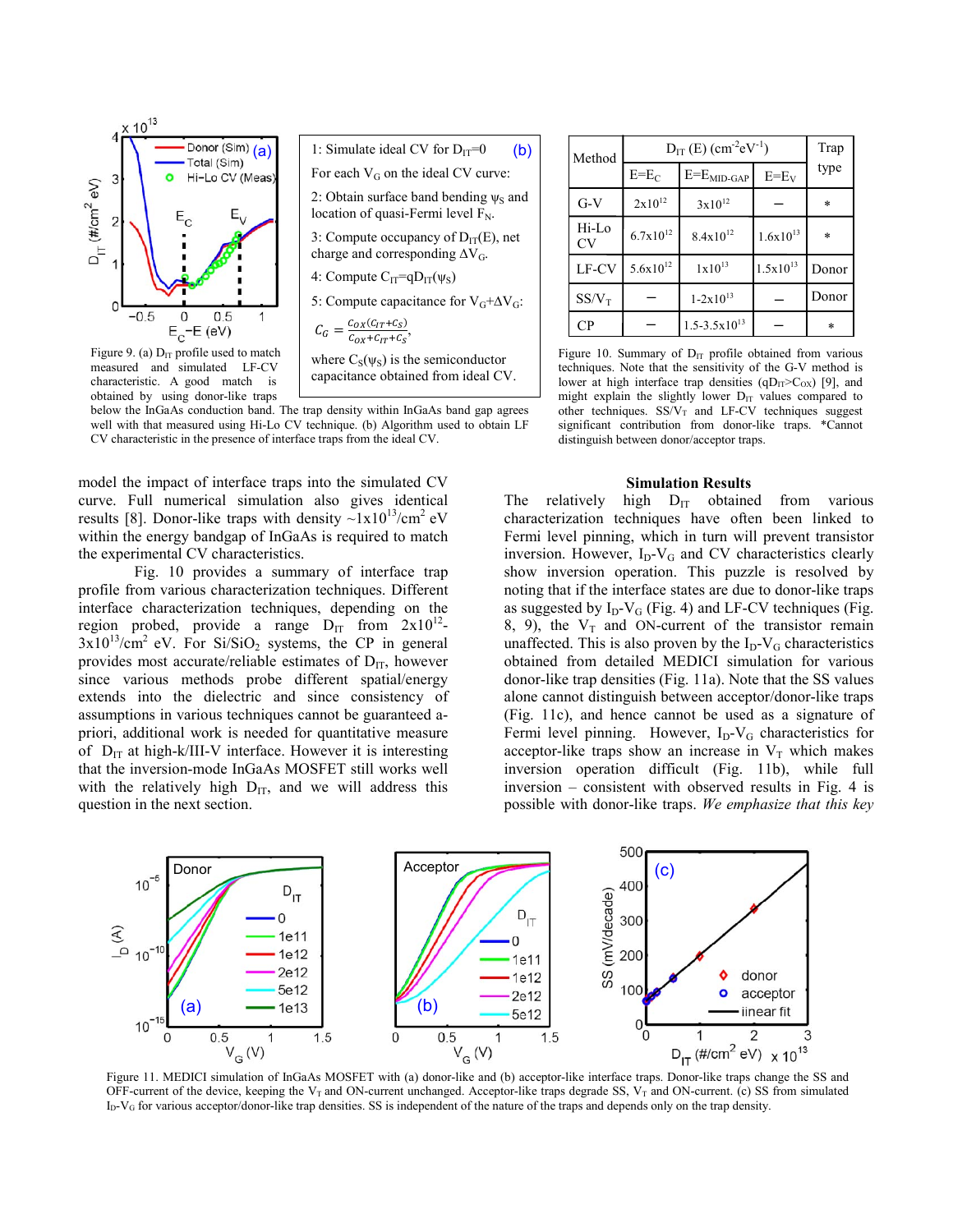



capacitance obtained from ideal CV.

Figure 9. (a)  $D_{IT}$  profile used to match measured and simulated LF-CV characteristic. A good match is obtained by using donor-like traps

below the InGaAs conduction band. The trap density within InGaAs band gap agrees well with that measured using Hi-Lo CV technique. (b) Algorithm used to obtain LF CV characteristic in the presence of interface traps from the ideal CV.

model the impact of interface traps into the simulated CV curve. Full numerical simulation also gives identical results [8]. Donor-like traps with density  $\sim 1x10^{13}/\text{cm}^2$  eV within the energy bandgap of InGaAs is required to match the experimental CV characteristics.

Fig. 10 provides a summary of interface trap profile from various characterization techniques. Different interface characterization techniques, depending on the region probed, provide a range  $D_{IT}$  from  $2x10^{12}$ - $3x10^{13}/cm^2$  eV. For Si/SiO<sub>2</sub> systems, the CP in general provides most accurate/reliable estimates of  $D_{IT}$ , however since various methods probe different spatial/energy extends into the dielectric and since consistency of assumptions in various techniques cannot be guaranteed apriori, additional work is needed for quantitative measure of  $D_{IT}$  at high-k/III-V interface. However it is interesting that the inversion-mode InGaAs MOSFET still works well with the relatively high  $D_{IT}$ , and we will address this question in the next section.

| Method             | $D_{IT}$ (E) (cm <sup>-2</sup> eV <sup>-1</sup> ) |                            |               | Trap    |
|--------------------|---------------------------------------------------|----------------------------|---------------|---------|
|                    | $E=E_C$                                           | $E=E_{MID\text{-}GAP}$     | $E=E_V$       | type    |
| $G-V$              | $2x10^{12}$                                       | $3x10^{12}$                |               | $\ast$  |
| Hi-Lo<br><b>CV</b> | $6.7x10^{12}$                                     | $8.4x10^{12}$              | $1.6x10^{13}$ | $\star$ |
| LF-CV              | $5.6x10^{12}$                                     | $1x10^{13}$                | $1.5x10^{13}$ | Donor   |
| $SS/V_T$           |                                                   | $1 - 2 \times 10^{13}$     |               | Donor   |
| CP                 |                                                   | $1.5 - 3.5 \times 10^{13}$ |               | $\ast$  |

Figure 10. Summary of  $D_{IT}$  profile obtained from various techniques. Note that the sensitivity of the G-V method is lower at high interface trap densities  $(qD_{IT} > C_{OX})$  [9], and might explain the slightly lower  $D_{IT}$  values compared to other techniques.  $SS/V_T$  and LF-CV techniques suggest significant contribution from donor-like traps. \*Cannot distinguish between donor/acceptor traps.

#### **Simulation Results**

The relatively high  $D_{IT}$  obtained from various characterization techniques have often been linked to Fermi level pinning, which in turn will prevent transistor inversion. However,  $I_D-V_G$  and CV characteristics clearly show inversion operation. This puzzle is resolved by noting that if the interface states are due to donor-like traps as suggested by  $I_D-V_G$  (Fig. 4) and LF-CV techniques (Fig. 8, 9), the  $V_T$  and ON-current of the transistor remain unaffected. This is also proven by the  $I_D-V_G$  characteristics obtained from detailed MEDICI simulation for various donor-like trap densities (Fig. 11a). Note that the SS values alone cannot distinguish between acceptor/donor-like traps (Fig. 11c), and hence cannot be used as a signature of Fermi level pinning. However,  $I_D-V_G$  characteristics for acceptor-like traps show an increase in  $V_T$  which makes inversion operation difficult (Fig. 11b), while full inversion – consistent with observed results in Fig. 4 is possible with donor-like traps. *We emphasize that this key* 



OFF-current of the device, keeping the  $V_T$  and ON-current unchanged. Acceptor-like traps degrade SS,  $V_T$  and ON-current. (c) SS from simulated  $I_D-V_G$  for various acceptor/donor-like trap densities. SS is independent of the nature of the traps and depends only on the trap density.